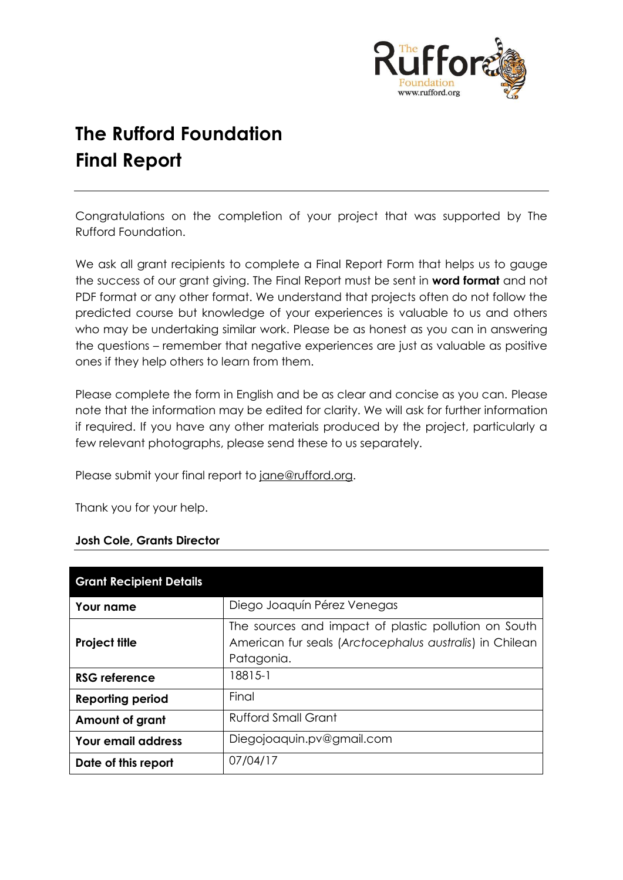

# **The Rufford Foundation Final Report**

Congratulations on the completion of your project that was supported by The Rufford Foundation.

We ask all grant recipients to complete a Final Report Form that helps us to gauge the success of our grant giving. The Final Report must be sent in **word format** and not PDF format or any other format. We understand that projects often do not follow the predicted course but knowledge of your experiences is valuable to us and others who may be undertaking similar work. Please be as honest as you can in answering the questions – remember that negative experiences are just as valuable as positive ones if they help others to learn from them.

Please complete the form in English and be as clear and concise as you can. Please note that the information may be edited for clarity. We will ask for further information if required. If you have any other materials produced by the project, particularly a few relevant photographs, please send these to us separately.

Please submit your final report to [jane@rufford.org.](mailto:jane@rufford.org)

Thank you for your help.

#### **Josh Cole, Grants Director**

| <b>Grant Recipient Details</b> |                                                                                                                               |  |  |  |
|--------------------------------|-------------------------------------------------------------------------------------------------------------------------------|--|--|--|
| Your name                      | Diego Joaquín Pérez Venegas                                                                                                   |  |  |  |
| <b>Project title</b>           | The sources and impact of plastic pollution on South<br>American fur seals (Arctocephalus australis) in Chilean<br>Patagonia. |  |  |  |
| RSG reference                  | 18815-1                                                                                                                       |  |  |  |
| <b>Reporting period</b>        | Final                                                                                                                         |  |  |  |
| Amount of grant                | <b>Rufford Small Grant</b>                                                                                                    |  |  |  |
| <b>Your email address</b>      | Diegojoaquin.pv@gmail.com                                                                                                     |  |  |  |
| Date of this report            | 07/04/17                                                                                                                      |  |  |  |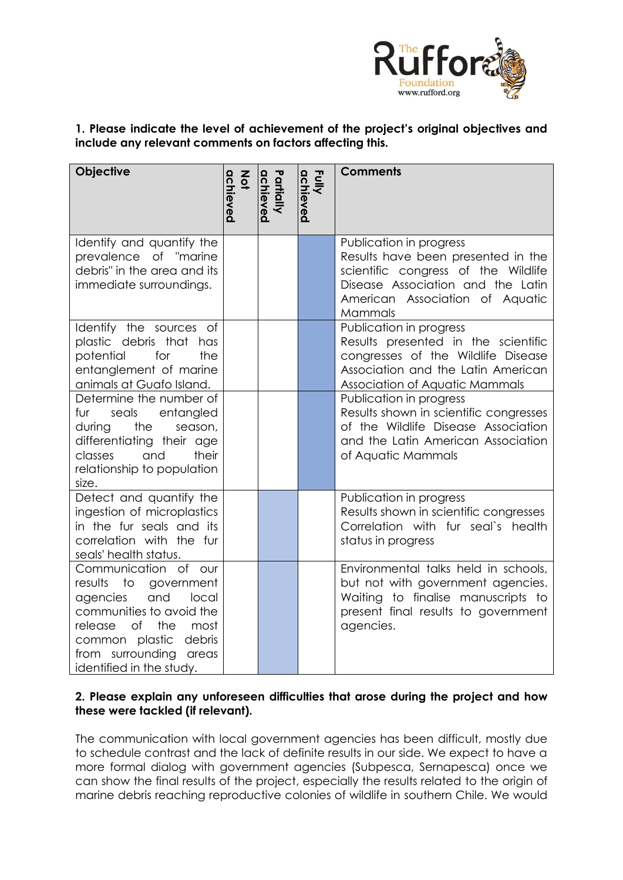

# **1. Please indicate the level of achievement of the project's original objectives and include any relevant comments on factors affecting this.**

| Objective                                                                                                                                                                                                                     | achieved<br>$rac{2}{9}$ | Partially<br>achieved | Fully<br>achieved | <b>Comments</b>                                                                                                                                                                         |
|-------------------------------------------------------------------------------------------------------------------------------------------------------------------------------------------------------------------------------|-------------------------|-----------------------|-------------------|-----------------------------------------------------------------------------------------------------------------------------------------------------------------------------------------|
| Identify and quantify the<br>prevalence of "marine<br>debris" in the area and its<br>immediate surroundings.                                                                                                                  |                         |                       |                   | Publication in progress<br>Results have been presented in the<br>scientific congress of the Wildlife<br>Disease Association and the Latin<br>American Association of Aquatic<br>Mammals |
| Identify the sources of<br>plastic debris that has<br>potential<br>for<br>the<br>entanglement of marine<br>animals at Guafo Island.                                                                                           |                         |                       |                   | Publication in progress<br>Results presented in the scientific<br>congresses of the Wildlife Disease<br>Association and the Latin American<br>Association of Aquatic Mammals            |
| Determine the number of<br>fur<br>seals<br>entangled<br>during<br>the<br>season,<br>differentiating their age<br>their<br>classes<br>and<br>relationship to population<br>size.                                               |                         |                       |                   | Publication in progress<br>Results shown in scientific congresses<br>of the Wildlife Disease Association<br>and the Latin American Association<br>of Aquatic Mammals                    |
| Detect and quantify the<br>ingestion of microplastics<br>in the fur seals and its<br>correlation with the fur<br>seals' health status.                                                                                        |                         |                       |                   | Publication in progress<br>Results shown in scientific congresses<br>Correlation with fur seal's health<br>status in progress                                                           |
| Communication of our<br>results<br>to<br>government<br>and<br>local<br>agencies<br>communities to avoid the<br>release<br>of<br>the<br>most<br>common plastic<br>debris<br>from surrounding areas<br>identified in the study. |                         |                       |                   | Environmental talks held in schools,<br>but not with government agencies.<br>Waiting to finalise manuscripts to<br>present final results to government<br>agencies.                     |

# **2. Please explain any unforeseen difficulties that arose during the project and how these were tackled (if relevant).**

The communication with local government agencies has been difficult, mostly due to schedule contrast and the lack of definite results in our side. We expect to have a more formal dialog with government agencies (Subpesca, Sernapesca) once we can show the final results of the project, especially the results related to the origin of marine debris reaching reproductive colonies of wildlife in southern Chile. We would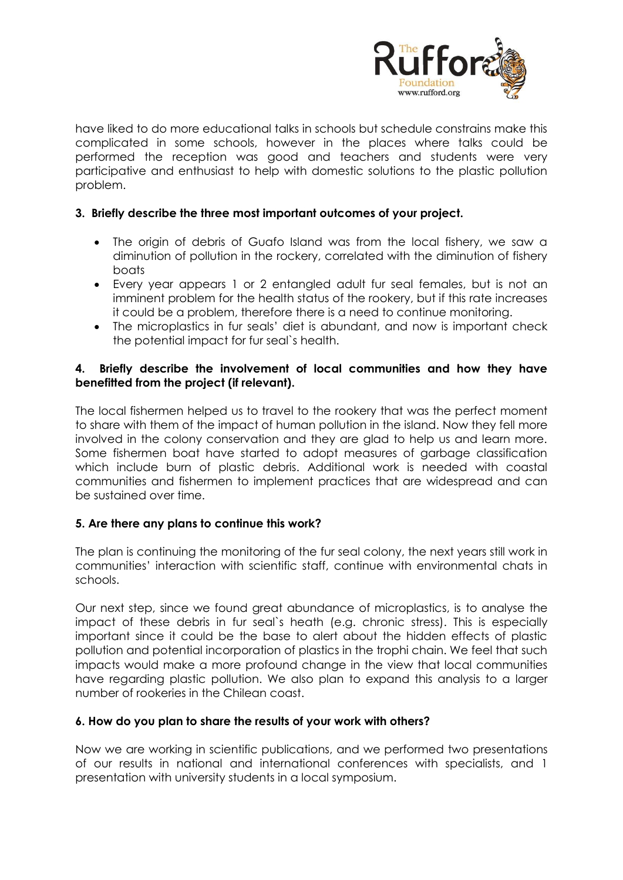

have liked to do more educational talks in schools but schedule constrains make this complicated in some schools, however in the places where talks could be performed the reception was good and teachers and students were very participative and enthusiast to help with domestic solutions to the plastic pollution problem.

# **3. Briefly describe the three most important outcomes of your project.**

- The origin of debris of Guafo Island was from the local fishery, we saw a diminution of pollution in the rockery, correlated with the diminution of fishery boats
- Every year appears 1 or 2 entangled adult fur seal females, but is not an imminent problem for the health status of the rookery, but if this rate increases it could be a problem, therefore there is a need to continue monitoring.
- The microplastics in fur seals' diet is abundant, and now is important check the potential impact for fur seal`s health.

## **4. Briefly describe the involvement of local communities and how they have benefitted from the project (if relevant).**

The local fishermen helped us to travel to the rookery that was the perfect moment to share with them of the impact of human pollution in the island. Now they fell more involved in the colony conservation and they are glad to help us and learn more. Some fishermen boat have started to adopt measures of garbage classification which include burn of plastic debris. Additional work is needed with coastal communities and fishermen to implement practices that are widespread and can be sustained over time.

# **5. Are there any plans to continue this work?**

The plan is continuing the monitoring of the fur seal colony, the next years still work in communities' interaction with scientific staff, continue with environmental chats in schools.

Our next step, since we found great abundance of microplastics, is to analyse the impact of these debris in fur seal`s heath (e.g. chronic stress). This is especially important since it could be the base to alert about the hidden effects of plastic pollution and potential incorporation of plastics in the trophi chain. We feel that such impacts would make a more profound change in the view that local communities have regarding plastic pollution. We also plan to expand this analysis to a larger number of rookeries in the Chilean coast.

#### **6. How do you plan to share the results of your work with others?**

Now we are working in scientific publications, and we performed two presentations of our results in national and international conferences with specialists, and 1 presentation with university students in a local symposium.